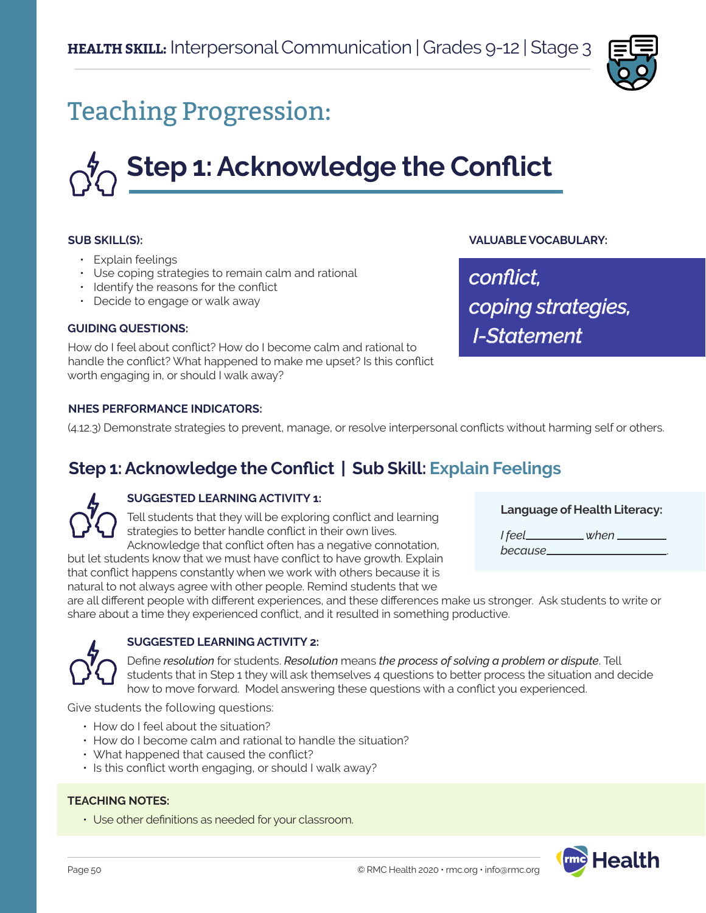

## Teaching Progression:

# **Step 1: Acknowledge the Conflict**

#### **SUB SKILL(S):**

- Explain feelings
- Use coping strategies to remain calm and rational
- Identify the reasons for the conflict
- Decide to engage or walk away

#### **GUIDING QUESTIONS:**

How do I feel about conflict? How do I become calm and rational to handle the conflict? What happened to make me upset? Is this conflict worth engaging in, or should I walk away?

#### **NHES PERFORMANCE INDICATORS:**

(4.12.3) Demonstrate strategies to prevent, manage, or resolve interpersonal conflicts without harming self or others.

## **Step 1: Acknowledge the Conflict | Sub Skill: Explain Feelings**

## **SUGGESTED LEARNING ACTIVITY 1:**

Tell students that they will be exploring conflict and learning strategies to better handle conflict in their own lives. Acknowledge that conflict often has a negative connotation,

but let students know that we must have conflict to have growth. Explain that conflict happens constantly when we work with others because it is natural to not always agree with other people. Remind students that we

**Language of Health Literacy:**

**VALUABLE VOCABULARY:**

*coping strategies,*

 *I-Statement*

*conflict,* 

*I feel when because* .

are all different people with different experiences, and these differences make us stronger. Ask students to write or share about a time they experienced conflict, and it resulted in something productive.



#### **SUGGESTED LEARNING ACTIVITY 2:**

Define *resolution* for students. *Resolution* means *the process of solving a problem or dispute*. Tell students that in Step 1 they will ask themselves 4 questions to better process the situation and decide how to move forward. Model answering these questions with a conflict you experienced.

Give students the following questions:

- How do I feel about the situation?
- How do I become calm and rational to handle the situation?
- What happened that caused the conflict?
- Is this conflict worth engaging, or should I walk away?

#### **TEACHING NOTES:**

• Use other definitions as needed for your classroom.

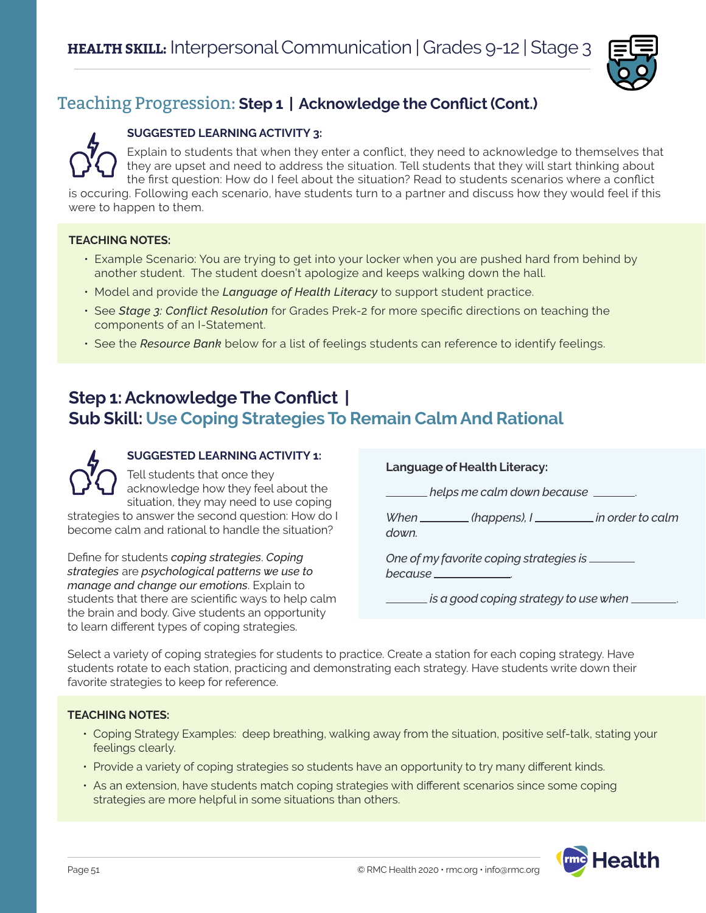

## Teaching Progression: **Step 1 | Acknowledge the Conflict (Cont.)**

## **SUGGESTED LEARNING ACTIVITY 3:**

Explain to students that when they enter a conflict, they need to acknowledge to themselves that they are upset and need to address the situation. Tell students that they will start thinking about the first question: How do I feel about the situation? Read to students scenarios where a conflict is occuring. Following each scenario, have students turn to a partner and discuss how they would feel if this

were to happen to them.

## **TEACHING NOTES:**

- Example Scenario: You are trying to get into your locker when you are pushed hard from behind by another student. The student doesn't apologize and keeps walking down the hall.
- Model and provide the *Language of Health Literacy* to support student practice.
- See *Stage 3: Conflict Resolution* for Grades Prek-2 for more specific directions on teaching the components of an I-Statement.
- See the *Resource Bank* below for a list of feelings students can reference to identify feelings.

## **Step 1: Acknowledge The Conflict | Sub Skill: Use Coping Strategies To Remain Calm And Rational**



## **SUGGESTED LEARNING ACTIVITY 1:**

Tell students that once they acknowledge how they feel about the situation, they may need to use coping

strategies to answer the second question: How do I become calm and rational to handle the situation?

Define for students *coping strategies*. *Coping strategies* are *psychological patterns we use to manage and change our emotions*. Explain to students that there are scientific ways to help calm the brain and body. Give students an opportunity to learn different types of coping strategies.

## **Language of Health Literacy:**

 *helps me calm down because* .

*When* (happens), I in order to calm *down.* 

*One of my favorite coping strategies is because* .

 *is a good coping strategy to use when* .

Select a variety of coping strategies for students to practice. Create a station for each coping strategy. Have students rotate to each station, practicing and demonstrating each strategy. Have students write down their favorite strategies to keep for reference.

## **TEACHING NOTES:**

- Coping Strategy Examples: deep breathing, walking away from the situation, positive self-talk, stating your feelings clearly.
- Provide a variety of coping strategies so students have an opportunity to try many different kinds.
- As an extension, have students match coping strategies with different scenarios since some coping strategies are more helpful in some situations than others.